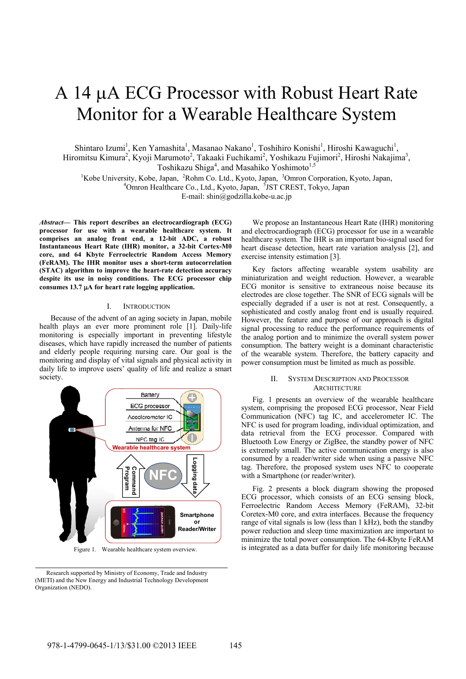# A 14 µA ECG Processor with Robust Heart Rate Monitor for a Wearable Healthcare System

Shintaro Izumi<sup>1</sup>, Ken Yamashita<sup>1</sup>, Masanao Nakano<sup>1</sup>, Toshihiro Konishi<sup>1</sup>, Hiroshi Kawaguchi<sup>1</sup>, Hiromitsu Kimura<sup>2</sup>, Kyoji Marumoto<sup>2</sup>, Takaaki Fuchikami<sup>2</sup>, Yoshikazu Fujimori<sup>2</sup>, Hiroshi Nakajima<sup>3</sup>, Toshikazu Shiga<sup>4</sup>, and Masahiko Yoshimoto<sup>1,5</sup>

<sup>1</sup>Kobe University, Kobe, Japan, <sup>2</sup>Rohm Co. Ltd., Kyoto, Japan, <sup>3</sup>Omron Corporation, Kyoto, Japan, <sup>4</sup>Omron Hoeltheers Co. Ltd., Kyoto, Japan, <sup>5</sup>JST CREST, Televo, Japan, Omron Healthcare Co., Ltd., Kyoto, Japan, <sup>5</sup>JST CREST, Tokyo, Japan E-mail: shin@godzilla.kobe-u.ac.jp

*Abstract***— This report describes an electrocardiograph (ECG) processor for use with a wearable healthcare system. It comprises an analog front end, a 12-bit ADC, a robust Instantaneous Heart Rate (IHR) monitor, a 32-bit Cortex-M0 core, and 64 Kbyte Ferroelectric Random Access Memory (FeRAM). The IHR monitor uses a short-term autocorrelation (STAC) algorithm to improve the heart-rate detection accuracy despite its use in noisy conditions. The ECG processor chip**  consumes 13.7 µA for heart rate logging application.

### I. INTRODUCTION

Because of the advent of an aging society in Japan, mobile health plays an ever more prominent role [1]. Daily-life monitoring is especially important in preventing lifestyle diseases, which have rapidly increased the number of patients and elderly people requiring nursing care. Our goal is the monitoring and display of vital signals and physical activity in daily life to improve users' quality of life and realize a smart society.



Figure 1. Wearable healthcare system overview.

We propose an Instantaneous Heart Rate (IHR) monitoring and electrocardiograph (ECG) processor for use in a wearable healthcare system. The IHR is an important bio-signal used for heart disease detection, heart rate variation analysis [2], and exercise intensity estimation [3].

Key factors affecting wearable system usability are miniaturization and weight reduction. However, a wearable ECG monitor is sensitive to extraneous noise because its electrodes are close together. The SNR of ECG signals will be especially degraded if a user is not at rest. Consequently, a sophisticated and costly analog front end is usually required. However, the feature and purpose of our approach is digital signal processing to reduce the performance requirements of the analog portion and to minimize the overall system power consumption. The battery weight is a dominant characteristic of the wearable system. Therefore, the battery capacity and power consumption must be limited as much as possible.

### II. SYSTEM DESCRIPTION AND PROCESSOR **ARCHITECTURE**

Fig. 1 presents an overview of the wearable healthcare system, comprising the proposed ECG processor, Near Field Communication (NFC) tag IC, and accelerometer IC. The NFC is used for program loading, individual optimization, and data retrieval from the ECG processor. Compared with Bluetooth Low Energy or ZigBee, the standby power of NFC is extremely small. The active communication energy is also consumed by a reader/writer side when using a passive NFC tag. Therefore, the proposed system uses NFC to cooperate with a Smartphone (or reader/writer).

Fig. 2 presents a block diagram showing the proposed ECG processor, which consists of an ECG sensing block, Ferroelectric Random Access Memory (FeRAM), 32-bit Coretex-M0 core, and extra interfaces. Because the frequency range of vital signals is low (less than 1 kHz), both the standby power reduction and sleep time maximization are important to minimize the total power consumption. The 64-Kbyte FeRAM is integrated as a data buffer for daily life monitoring because

Research supported by Ministry of Economy, Trade and Industry (METI) and the New Energy and Industrial Technology Development Organization (NEDO).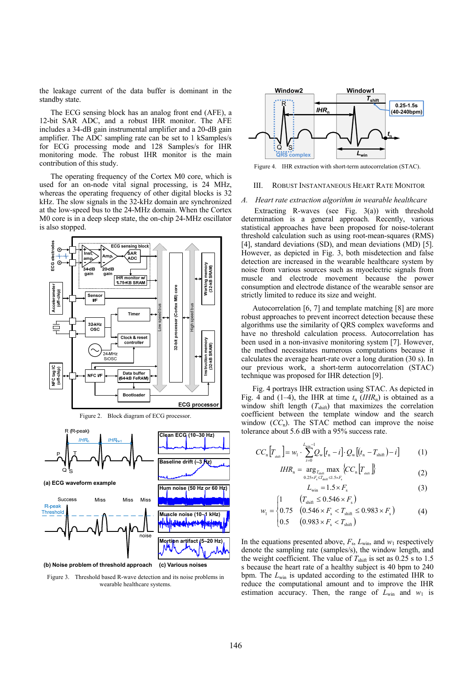the leakage current of the data buffer is dominant in the standby state.

The ECG sensing block has an analog front end (AFE), a 12-bit SAR ADC, and a robust IHR monitor. The AFE includes a 34-dB gain instrumental amplifier and a 20-dB gain amplifier. The ADC sampling rate can be set to 1 kSamples/s for ECG processing mode and 128 Samples/s for IHR monitoring mode. The robust IHR monitor is the main contribution of this study.

The operating frequency of the Cortex M0 core, which is used for an on-node vital signal processing, is 24 MHz, whereas the operating frequency of other digital blocks is 32 kHz. The slow signals in the 32-kHz domain are synchronized at the low-speed bus to the 24-MHz domain. When the Cortex M0 core is in a deep sleep state, the on-chip 24-MHz oscillator is also stopped.



**(c) Various noises (b) Noise problem of threshold approach**

Figure 3. Threshold based R-wave detection and its noise problems in wearable healthcare systems.



Figure 4. IHR extraction with short-term autocorrelation (STAC).

# III. ROBUST INSTANTANEOUS HEART RATE MONITOR

#### *A. Heart rate extraction algorithm in wearable healthcare*

 Extracting R-waves (see Fig. 3(a)) with threshold determination is a general approach. Recently, various statistical approaches have been proposed for noise-tolerant threshold calculation such as using root-mean-squares (RMS) [4], standard deviations (SD), and mean deviations (MD) [5]. However, as depicted in Fig. 3, both misdetection and false detection are increased in the wearable healthcare system by noise from various sources such as myoelectric signals from muscle and electrode movement because the power consumption and electrode distance of the wearable sensor are strictly limited to reduce its size and weight.

Autocorrelation [6, 7] and template matching [8] are more robust approaches to prevent incorrect detection because these algorithms use the similarity of QRS complex waveforms and have no threshold calculation process. Autocorrelation has been used in a non-invasive monitoring system [7]. However, the method necessitates numerous computations because it calculates the average heart-rate over a long duration (30 s). In our previous work, a short-term autocorrelation (STAC) technique was proposed for IHR detection [9].

Fig. 4 portrays IHR extraction using STAC. As depicted in Fig. 4 and (1–4), the IHR at time  $t_n$  (*IHR*<sub>n</sub>) is obtained as a window shift length  $(T_{\text{shift}})$  that maximizes the correlation coefficient between the template window and the search window  $(CC_n)$ . The STAC method can improve the noise tolerance about 5.6 dB with a 95% success rate.

$$
CC_{n}[T_{\min}] = w_{1} \cdot \sum_{i=0}^{L_{\min}-1} Q_{w}[t_{n}-i] \cdot Q_{w}[(t_{n}-T_{\min})-i] \tag{1}
$$

$$
IHR_{n} = \underset{0.25 \times F_{s} \leq T_{\text{shift}} \leq 1.5 \times F_{s}}{\arg_{T_{\text{shift}}} \max} \{CC_{n} \left[ T_{\text{shift}} \right] \} \tag{2}
$$

$$
L_{\text{win}} = 1.5 \times F_{\text{s}} \tag{3}
$$

$$
w_1 = \begin{cases} 1 & (T_{\text{shift}} \le 0.546 \times F_s) \\ 0.75 & (0.546 \times F_s < T_{\text{shift}} \le 0.983 \times F_s) \\ 0.5 & (0.983 \times F_s < T_{\text{shift}}) \end{cases}
$$
(4)

 $\left(1\right)$ 

In the equations presented above, 
$$
F_s
$$
,  $L_{win}$ , and  $w_1$  respectively denote the sampling rate (samples/s), the window length, and the weight coefficient. The value of  $T_{shift}$  is set as 0.25 s to 1.5 s because the heart rate of a healthy subject is 40 bpm to 240 bpm. The  $L_{win}$  is updated according to the estimated IHR to reduce the computational amount and to improve the IHR estimation accuracy. Then, the range of  $L_{win}$  and  $w_1$  is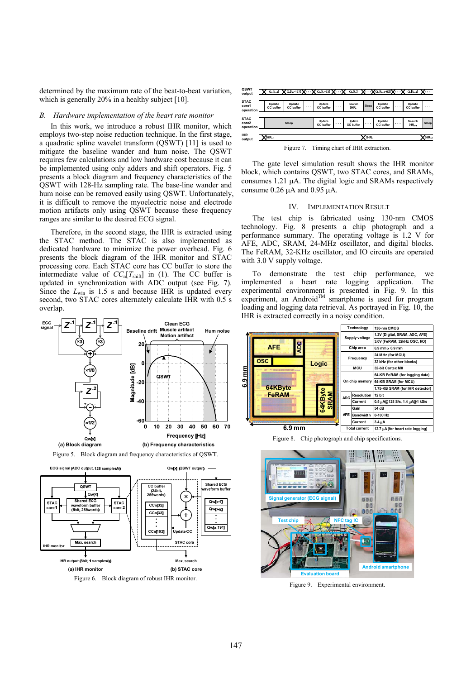determined by the maximum rate of the beat-to-beat variation, which is generally 20% in a healthy subject [10].

## *B. Hardware implementation of the heart rate monitor*

In this work, we introduce a robust IHR monitor, which employs two-step noise reduction technique. In the first stage, a quadratic spline wavelet transform (QSWT) [11] is used to mitigate the baseline wander and hum noise. The QSWT requires few calculations and low hardware cost because it can be implemented using only adders and shift operators. Fig. 5 presents a block diagram and frequency characteristics of the QSWT with 128-Hz sampling rate. The base-line wander and hum noise can be removed easily using QSWT. Unfortunately, it is difficult to remove the myoelectric noise and electrode motion artifacts only using QSWT because these frequency ranges are similar to the desired ECG signal.

Therefore, in the second stage, the IHR is extracted using the STAC method. The STAC is also implemented as dedicated hardware to minimize the power overhead. Fig. 6 presents the block diagram of the IHR monitor and STAC processing core. Each STAC core has CC buffer to store the intermediate value of  $CC_n[T_{\text{shift}}]$  in (1). The CC buffer is updated in synchronization with ADC output (see Fig. 7). Since the *L*<sub>win</sub> is 1.5 s and because IHR is updated every second, two STAC cores alternately calculate IHR with 0.5 s overlap.





STAC core

Max search

Max search

IHR output (8bit, 1 samples/s)

**IHR** monitor

| QSWT<br>output                    |                                              |                     | $Q_{\rm eff}$ $Q_{\rm eff}$ $Q_{\rm eff}$ $-127$ ] $Q_{\rm eff}$ $Q_{\rm eff}$ $-63$ ] $Q_{\rm eff}$ |                     |                     |                     | Q.It.I         |                     | $X$ Q, [t <sub>rul</sub> –63] $X$ |                             | $Q_n[t_{n+1}]$      | . |
|-----------------------------------|----------------------------------------------|---------------------|------------------------------------------------------------------------------------------------------|---------------------|---------------------|---------------------|----------------|---------------------|-----------------------------------|-----------------------------|---------------------|---|
| <b>STAC</b><br>core1<br>operation |                                              | Update<br>CC buffer | Update<br>CC buffer                                                                                  | $\cdots$            | Update<br>CC buffer | $\cdots$            | Search<br>IHR. | Sleep               | Update<br>CC buffer               | $\cdots$                    | Update<br>CC buffer | . |
| <b>STAC</b><br>core2<br>operation | Sleep                                        |                     |                                                                                                      | Update<br>CC buffer | $\cdots$            | Update<br>CC buffer | $\cdots$       | Update<br>CC buffer | $\cdots$                          | Search<br>IHR <sub>11</sub> | Sleep               |   |
| <b>IHR</b><br>output              |                                              | IHR <sub>-1</sub>   | IHR.                                                                                                 |                     |                     |                     |                |                     |                                   |                             | E <sub>III</sub>    |   |
|                                   | Timing chart of IHR extraction.<br>Figure 7. |                     |                                                                                                      |                     |                     |                     |                |                     |                                   |                             |                     |   |

The gate level simulation result shows the IHR monitor block, which contains QSWT, two STAC cores, and SRAMs, consumes  $1.21 \mu A$ . The digital logic and SRAMs respectively consume  $0.26 \mu A$  and  $0.95 \mu A$ .

#### IV. IMPLEMENTATION RESULT

The test chip is fabricated using 130-nm CMOS technology. Fig. 8 presents a chip photograph and a performance summary. The operating voltage is 1.2 V for AFE, ADC, SRAM, 24-MHz oscillator, and digital blocks. The FeRAM, 32-KHz oscillator, and IO circuits are operated with 3.0 V supply voltage.

To demonstrate the test chip performance, we implemented a heart rate logging application. The experimental environment is presented in Fig. 9. In this experiment, an Android™ smartphone is used for program loading and logging data retrieval. As portrayed in Fig. 10, the IHR is extracted correctly in a noisy condition.



Figure 8. Chip photograph and chip specifications.



Figure 9. Experimental environment.